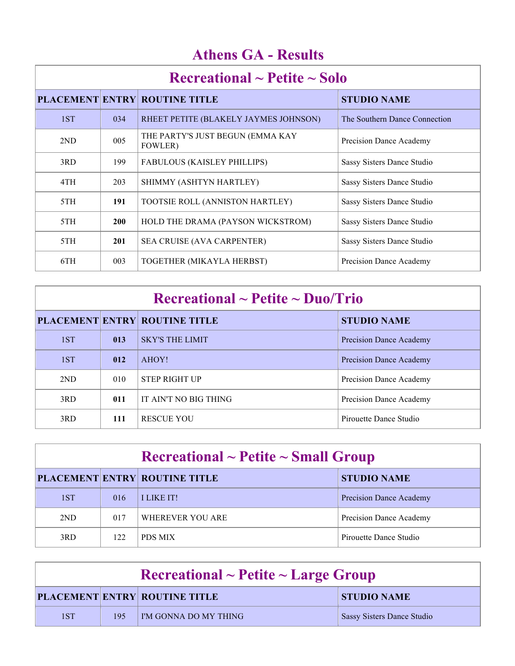| $\rm Recreational \sim Peitite \sim Solo$ |            |                                             |                               |  |
|-------------------------------------------|------------|---------------------------------------------|-------------------------------|--|
|                                           |            | <b>PLACEMENT ENTRY ROUTINE TITLE</b>        | <b>STUDIO NAME</b>            |  |
| 1ST                                       | 034        | RHEET PETITE (BLAKELY JAYMES JOHNSON)       | The Southern Dance Connection |  |
| 2ND                                       | 005        | THE PARTY'S JUST BEGUN (EMMA KAY<br>FOWLER) | Precision Dance Academy       |  |
| 3RD                                       | 199        | <b>FABULOUS (KAISLEY PHILLIPS)</b>          | Sassy Sisters Dance Studio    |  |
| 4TH                                       | 203        | SHIMMY (ASHTYN HARTLEY)                     | Sassy Sisters Dance Studio    |  |
| 5TH                                       | 191        | TOOTSIE ROLL (ANNISTON HARTLEY)             | Sassy Sisters Dance Studio    |  |
| 5TH                                       | <b>200</b> | HOLD THE DRAMA (PAYSON WICKSTROM)           | Sassy Sisters Dance Studio    |  |
| 5TH                                       | 201        | SEA CRUISE (AVA CARPENTER)                  | Sassy Sisters Dance Studio    |  |
| 6TH                                       | 003        | TOGETHER (MIKAYLA HERBST)                   | Precision Dance Academy       |  |

| $\rm Recreational \sim Petite \sim Duo/Trio$ |     |                                      |                                |  |
|----------------------------------------------|-----|--------------------------------------|--------------------------------|--|
|                                              |     | <b>PLACEMENT ENTRY ROUTINE TITLE</b> | <b>STUDIO NAME</b>             |  |
| 1ST                                          | 013 | <b>SKY'S THE LIMIT</b>               | Precision Dance Academy        |  |
| 1ST                                          | 012 | AHOY!                                | <b>Precision Dance Academy</b> |  |
| 2ND                                          | 010 | <b>STEP RIGHT UP</b>                 | Precision Dance Academy        |  |
| 3RD                                          | 011 | IT AIN'T NO BIG THING                | Precision Dance Academy        |  |
| 3RD                                          | 111 | <b>RESCUE YOU</b>                    | Pirouette Dance Studio         |  |

| $\rm Recreational \sim Petite \sim Small\,\, Group$ |     |                                      |                         |  |
|-----------------------------------------------------|-----|--------------------------------------|-------------------------|--|
|                                                     |     | <b>PLACEMENT ENTRY ROUTINE TITLE</b> | <b>STUDIO NAME</b>      |  |
| 1ST                                                 | 016 | <b>I LIKE IT!</b>                    | Precision Dance Academy |  |
| 2 <sub>ND</sub>                                     | 017 | WHEREVER YOU ARE                     | Precision Dance Academy |  |
| 3RD                                                 | 122 | <b>PDS MIX</b>                       | Pirouette Dance Studio  |  |

| $\rm Recreational \sim Peitite \sim Large \,\, Group$ |     |                                      |                                   |  |
|-------------------------------------------------------|-----|--------------------------------------|-----------------------------------|--|
|                                                       |     | <b>PLACEMENT ENTRY ROUTINE TITLE</b> | <b>STUDIO NAME</b>                |  |
| 1ST                                                   | 195 | I'M GONNA DO MY THING                | <b>Sassy Sisters Dance Studio</b> |  |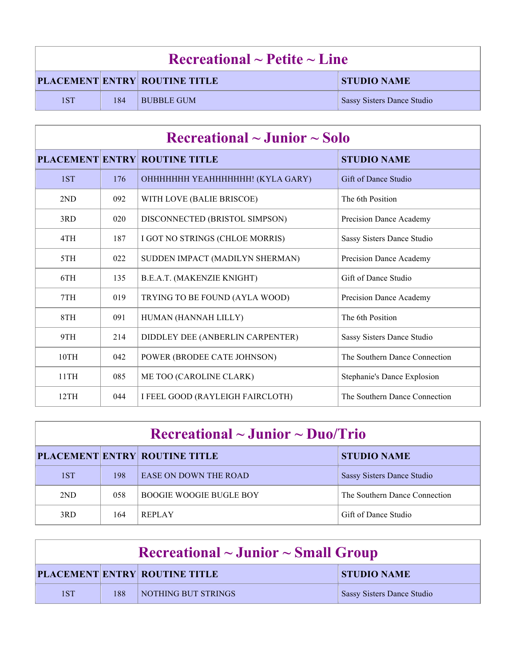| $\rm Recreational \sim Petitle \sim Line$ |     |                                      |                                   |  |
|-------------------------------------------|-----|--------------------------------------|-----------------------------------|--|
|                                           |     | <b>PLACEMENT ENTRY ROUTINE TITLE</b> | <b>STUDIO NAME</b>                |  |
| 1ST                                       | 184 | <b>BUBBLE GUM</b>                    | <b>Sassy Sisters Dance Studio</b> |  |

| $\rm Recreational \sim Junior \sim Solo$ |     |                                      |                               |
|------------------------------------------|-----|--------------------------------------|-------------------------------|
|                                          |     | <b>PLACEMENT ENTRY ROUTINE TITLE</b> | <b>STUDIO NAME</b>            |
| 1ST                                      | 176 | ОННННННН ҮЕАННННННН! (KYLA GARY)     | Gift of Dance Studio          |
| 2ND                                      | 092 | WITH LOVE (BALIE BRISCOE)            | The 6th Position              |
| 3RD                                      | 020 | DISCONNECTED (BRISTOL SIMPSON)       | Precision Dance Academy       |
| 4TH                                      | 187 | I GOT NO STRINGS (CHLOE MORRIS)      | Sassy Sisters Dance Studio    |
| 5TH                                      | 022 | SUDDEN IMPACT (MADILYN SHERMAN)      | Precision Dance Academy       |
| 6TH                                      | 135 | B.E.A.T. (MAKENZIE KNIGHT)           | Gift of Dance Studio          |
| 7TH                                      | 019 | TRYING TO BE FOUND (AYLA WOOD)       | Precision Dance Academy       |
| 8TH                                      | 091 | HUMAN (HANNAH LILLY)                 | The 6th Position              |
| 9TH                                      | 214 | DIDDLEY DEE (ANBERLIN CARPENTER)     | Sassy Sisters Dance Studio    |
| 10TH                                     | 042 | POWER (BRODEE CATE JOHNSON)          | The Southern Dance Connection |
| 11TH                                     | 085 | ME TOO (CAROLINE CLARK)              | Stephanie's Dance Explosion   |
| 12TH                                     | 044 | I FEEL GOOD (RAYLEIGH FAIRCLOTH)     | The Southern Dance Connection |

| $\rm Recreational \sim J$ unior ~ Duo/Trio |     |                                      |                               |  |
|--------------------------------------------|-----|--------------------------------------|-------------------------------|--|
|                                            |     | <b>PLACEMENT ENTRY ROUTINE TITLE</b> | <b>STUDIO NAME</b>            |  |
| 1ST                                        | 198 | <b>EASE ON DOWN THE ROAD</b>         | Sassy Sisters Dance Studio    |  |
| 2ND                                        | 058 | <b>BOOGIE WOOGIE BUGLE BOY</b>       | The Southern Dance Connection |  |
| 3RD                                        | 164 | <b>REPLAY</b>                        | Gift of Dance Studio          |  |

| $\rm Recreational \sim Junior \sim Small~Group$ |     |                                      |                            |  |
|-------------------------------------------------|-----|--------------------------------------|----------------------------|--|
|                                                 |     | <b>PLACEMENT ENTRY ROUTINE TITLE</b> | <b>STUDIO NAME</b>         |  |
| 1ST                                             | 188 | <b>NOTHING BUT STRINGS</b>           | Sassy Sisters Dance Studio |  |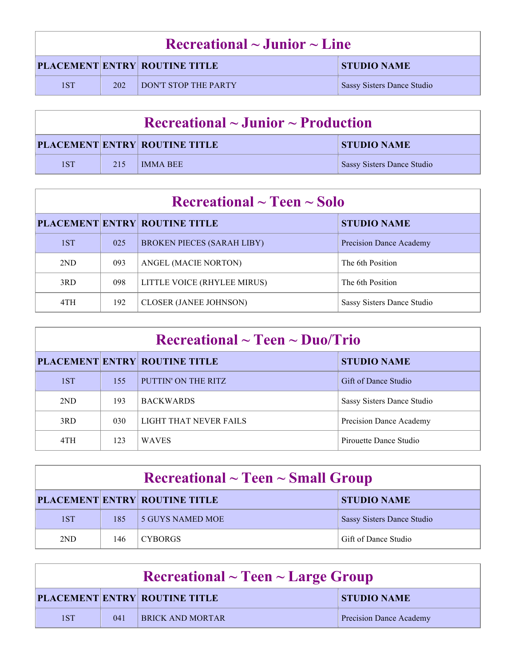| $\rm Recreational \sim Junior \sim Line$ |     |                                      |                            |  |
|------------------------------------------|-----|--------------------------------------|----------------------------|--|
|                                          |     | <b>PLACEMENT ENTRY ROUTINE TITLE</b> | <b>STUDIO NAME</b>         |  |
| 1ST                                      | 202 | <b>DON'T STOP THE PARTY</b>          | Sassy Sisters Dance Studio |  |

| $\Gamma$ Recreational $\sim$ Junior $\sim$ Production |     |                                      |                                   |  |
|-------------------------------------------------------|-----|--------------------------------------|-----------------------------------|--|
|                                                       |     | <b>PLACEMENT ENTRY ROUTINE TITLE</b> | <b>STUDIO NAME</b>                |  |
| 1ST                                                   | 215 | IMMA BEE                             | <b>Sassy Sisters Dance Studio</b> |  |

| $\rm Recreational \sim Teen \sim Solo$ |     |                                      |                            |  |
|----------------------------------------|-----|--------------------------------------|----------------------------|--|
|                                        |     | <b>PLACEMENT ENTRY ROUTINE TITLE</b> | <b>STUDIO NAME</b>         |  |
| 1ST                                    | 025 | <b>BROKEN PIECES (SARAH LIBY)</b>    | Precision Dance Academy    |  |
| 2ND                                    | 093 | ANGEL (MACIE NORTON)                 | The 6th Position           |  |
| 3RD                                    | 098 | LITTLE VOICE (RHYLEE MIRUS)          | The 6th Position           |  |
| 4TH                                    | 192 | <b>CLOSER (JANEE JOHNSON)</b>        | Sassy Sisters Dance Studio |  |

| $\rm Recreational \sim Teen \sim Duo/Trio$ |     |                                      |                            |
|--------------------------------------------|-----|--------------------------------------|----------------------------|
|                                            |     | <b>PLACEMENT ENTRY ROUTINE TITLE</b> | <b>STUDIO NAME</b>         |
| 1ST                                        | 155 | PUTTIN' ON THE RITZ                  | Gift of Dance Studio       |
| 2ND                                        | 193 | <b>BACKWARDS</b>                     | Sassy Sisters Dance Studio |
| 3RD                                        | 030 | LIGHT THAT NEVER FAILS               | Precision Dance Academy    |
| 4TH                                        | 123 | <b>WAVES</b>                         | Pirouette Dance Studio     |

| $\rm Recreational \sim Teen \sim Small\,\, Group$ |     |                                      |                                   |
|---------------------------------------------------|-----|--------------------------------------|-----------------------------------|
|                                                   |     | <b>PLACEMENT ENTRY ROUTINE TITLE</b> | <b>STUDIO NAME</b>                |
| 1ST                                               | 185 | 5 GUYS NAMED MOE                     | <b>Sassy Sisters Dance Studio</b> |
| 2ND                                               | 146 | <b>CYBORGS</b>                       | Gift of Dance Studio              |

| $\textbf{Recreational} \sim \textbf{Teen} \sim \textbf{Large Group}$ |     |                                      |                                |
|----------------------------------------------------------------------|-----|--------------------------------------|--------------------------------|
|                                                                      |     | <b>PLACEMENT ENTRY ROUTINE TITLE</b> | <b>STUDIO NAME</b>             |
| 1ST                                                                  | 041 | <b>BRICK AND MORTAR</b>              | <b>Precision Dance Academy</b> |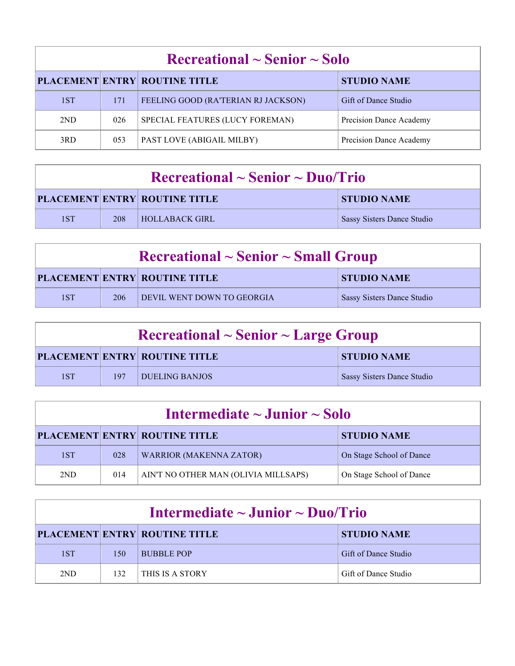| $\rm Recreational \sim Senior \sim Solo$ |     |                                      |                         |  |
|------------------------------------------|-----|--------------------------------------|-------------------------|--|
|                                          |     | <b>PLACEMENT ENTRY ROUTINE TITLE</b> | <b>STUDIO NAME</b>      |  |
| 1ST                                      | 171 | FEELING GOOD (RA'TERIAN RJ JACKSON)  | Gift of Dance Studio    |  |
| 2ND                                      | 026 | SPECIAL FEATURES (LUCY FOREMAN)      | Precision Dance Academy |  |
| 3RD                                      | 053 | PAST LOVE (ABIGAIL MILBY)            | Precision Dance Academy |  |

| $\rm Recreational \sim Senior \sim Duo/Trio$ |     |                                      |                            |
|----------------------------------------------|-----|--------------------------------------|----------------------------|
|                                              |     | <b>PLACEMENT ENTRY ROUTINE TITLE</b> | <b>STUDIO NAME</b>         |
| 1ST                                          | 208 | <b>HOLLABACK GIRL</b>                | Sassy Sisters Dance Studio |

| $\rm Recreational \sim Senior \sim Small\,\, Group$ |     |                                      |                                   |
|-----------------------------------------------------|-----|--------------------------------------|-----------------------------------|
|                                                     |     | <b>PLACEMENT ENTRY ROUTINE TITLE</b> | <b>STUDIO NAME</b>                |
| 1ST                                                 | 206 | DEVIL WENT DOWN TO GEORGIA           | <b>Sassy Sisters Dance Studio</b> |

| $\rm Recreational \sim Senior \sim Large\ Group$ |     |                                      |                                   |
|--------------------------------------------------|-----|--------------------------------------|-----------------------------------|
|                                                  |     | <b>PLACEMENT ENTRY ROUTINE TITLE</b> | <b>STUDIO NAME</b>                |
| 1ST                                              | 197 | DUELING BANJOS                       | <b>Sassy Sisters Dance Studio</b> |

| Intermediate $\sim$ Junior $\sim$ Solo |     |                                      |                          |
|----------------------------------------|-----|--------------------------------------|--------------------------|
|                                        |     | <b>PLACEMENT ENTRY ROUTINE TITLE</b> | <b>STUDIO NAME</b>       |
| 1ST                                    | 028 | <b>WARRIOR (MAKENNA ZATOR)</b>       | On Stage School of Dance |
| 2ND                                    | 014 | AIN'T NO OTHER MAN (OLIVIA MILLSAPS) | On Stage School of Dance |

| Intermediate $\sim$ Junior $\sim$ Duo/Trio                 |     |                   |                      |  |
|------------------------------------------------------------|-----|-------------------|----------------------|--|
| <b>PLACEMENT ENTRY ROUTINE TITLE</b><br><b>STUDIO NAME</b> |     |                   |                      |  |
| 1ST                                                        | 150 | <b>BUBBLE POP</b> | Gift of Dance Studio |  |
| 2ND                                                        | 132 | THIS IS A STORY   | Gift of Dance Studio |  |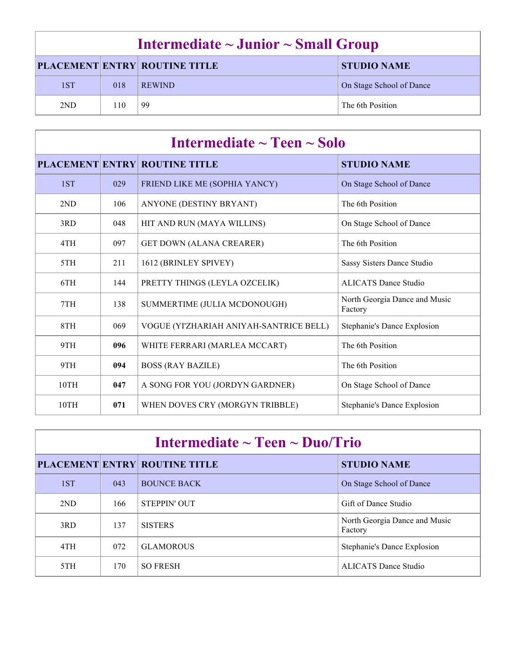| Intermediate $\sim$ Junior $\sim$ Small Group |     |                                      |                          |
|-----------------------------------------------|-----|--------------------------------------|--------------------------|
|                                               |     | <b>PLACEMENT ENTRY ROUTINE TITLE</b> | <b>STUDIO NAME</b>       |
| 1ST                                           | 018 | <b>REWIND</b>                        | On Stage School of Dance |
| 2ND                                           | 110 | -99                                  | The 6th Position         |

| Intermediate $\sim$ Teen $\sim$ Solo |     |                                         |                                          |
|--------------------------------------|-----|-----------------------------------------|------------------------------------------|
|                                      |     | <b>PLACEMENT ENTRY ROUTINE TITLE</b>    | <b>STUDIO NAME</b>                       |
| 1ST                                  | 029 | FRIEND LIKE ME (SOPHIA YANCY)           | On Stage School of Dance                 |
| 2ND                                  | 106 | ANYONE (DESTINY BRYANT)                 | The 6th Position                         |
| 3RD                                  | 048 | HIT AND RUN (MAYA WILLINS)              | On Stage School of Dance                 |
| 4TH                                  | 097 | <b>GET DOWN (ALANA CREARER)</b>         | The 6th Position                         |
| 5TH                                  | 211 | 1612 (BRINLEY SPIVEY)                   | Sassy Sisters Dance Studio               |
| 6TH                                  | 144 | PRETTY THINGS (LEYLA OZCELIK)           | <b>ALICATS Dance Studio</b>              |
| 7TH                                  | 138 | SUMMERTIME (JULIA MCDONOUGH)            | North Georgia Dance and Music<br>Factory |
| 8TH                                  | 069 | VOGUE (YI'ZHARIAH ANIYAH-SANTRICE BELL) | Stephanie's Dance Explosion              |
| 9TH                                  | 096 | WHITE FERRARI (MARLEA MCCART)           | The 6th Position                         |
| 9TH                                  | 094 | <b>BOSS (RAY BAZILE)</b>                | The 6th Position                         |
| 10TH                                 | 047 | A SONG FOR YOU (JORDYN GARDNER)         | On Stage School of Dance                 |
| 10TH                                 | 071 | WHEN DOVES CRY (MORGYN TRIBBLE)         | Stephanie's Dance Explosion              |

| Intermediate $\sim$ Teen $\sim$ Duo/Trio |     |                                      |                                          |
|------------------------------------------|-----|--------------------------------------|------------------------------------------|
|                                          |     | <b>PLACEMENT ENTRY ROUTINE TITLE</b> | <b>STUDIO NAME</b>                       |
| 1ST                                      | 043 | <b>BOUNCE BACK</b>                   | On Stage School of Dance                 |
| 2ND                                      | 166 | <b>STEPPIN' OUT</b>                  | Gift of Dance Studio                     |
| 3RD                                      | 137 | <b>SISTERS</b>                       | North Georgia Dance and Music<br>Factory |
| 4TH                                      | 072 | <b>GLAMOROUS</b>                     | Stephanie's Dance Explosion              |
| 5TH                                      | 170 | <b>SO FRESH</b>                      | ALICATS Dance Studio                     |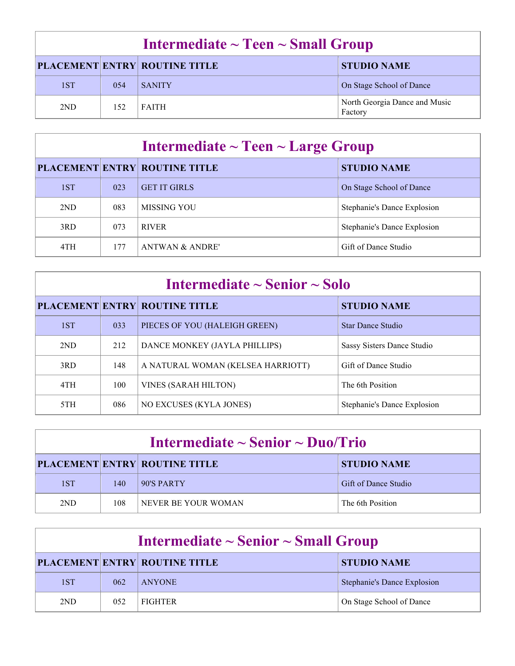| Intermediate $\sim$ Teen $\sim$ Small Group |     |                               |                                          |
|---------------------------------------------|-----|-------------------------------|------------------------------------------|
|                                             |     | PLACEMENT ENTRY ROUTINE TITLE | <b>STUDIO NAME</b>                       |
| 1ST                                         | 054 | <b>SANITY</b>                 | On Stage School of Dance                 |
| 2ND                                         | 152 | <b>FAITH</b>                  | North Georgia Dance and Music<br>Factory |

| Intermediate $\sim$ Teen $\sim$ Large Group |     |                                      |                             |
|---------------------------------------------|-----|--------------------------------------|-----------------------------|
|                                             |     | <b>PLACEMENT ENTRY ROUTINE TITLE</b> | <b>STUDIO NAME</b>          |
| 1ST                                         | 023 | <b>GET IT GIRLS</b>                  | On Stage School of Dance    |
| 2ND                                         | 083 | MISSING YOU                          | Stephanie's Dance Explosion |
| 3RD                                         | 073 | <b>RIVER</b>                         | Stephanie's Dance Explosion |
| 4TH                                         | 177 | <b>ANTWAN &amp; ANDRE'</b>           | Gift of Dance Studio        |

| Intermediate $\sim$ Senior $\sim$ Solo |     |                                      |                             |
|----------------------------------------|-----|--------------------------------------|-----------------------------|
|                                        |     | <b>PLACEMENT ENTRY ROUTINE TITLE</b> | <b>STUDIO NAME</b>          |
| 1ST                                    | 033 | PIECES OF YOU (HALEIGH GREEN)        | <b>Star Dance Studio</b>    |
| 2ND                                    | 212 | DANCE MONKEY (JAYLA PHILLIPS)        | Sassy Sisters Dance Studio  |
| 3RD                                    | 148 | A NATURAL WOMAN (KELSEA HARRIOTT)    | Gift of Dance Studio        |
| 4TH                                    | 100 | <b>VINES (SARAH HILTON)</b>          | The 6th Position            |
| 5TH                                    | 086 | NO EXCUSES (KYLA JONES)              | Stephanie's Dance Explosion |

| Intermediate $\sim$ Senior $\sim$ Duo/Trio |     |                                      |                      |
|--------------------------------------------|-----|--------------------------------------|----------------------|
|                                            |     | <b>PLACEMENT ENTRY ROUTINE TITLE</b> | <b>STUDIO NAME</b>   |
| 1ST                                        | 140 | 90'S PARTY                           | Gift of Dance Studio |
| 2ND                                        | 108 | NEVER BE YOUR WOMAN                  | The 6th Position     |

| Intermediate $\sim$ Senior $\sim$ Small Group |     |                                      |                                    |
|-----------------------------------------------|-----|--------------------------------------|------------------------------------|
|                                               |     | <b>PLACEMENT ENTRY ROUTINE TITLE</b> | <b>STUDIO NAME</b>                 |
| 1ST                                           | 062 | <b>ANYONE</b>                        | <b>Stephanie's Dance Explosion</b> |
| 2ND                                           | 052 | <b>FIGHTER</b>                       | On Stage School of Dance           |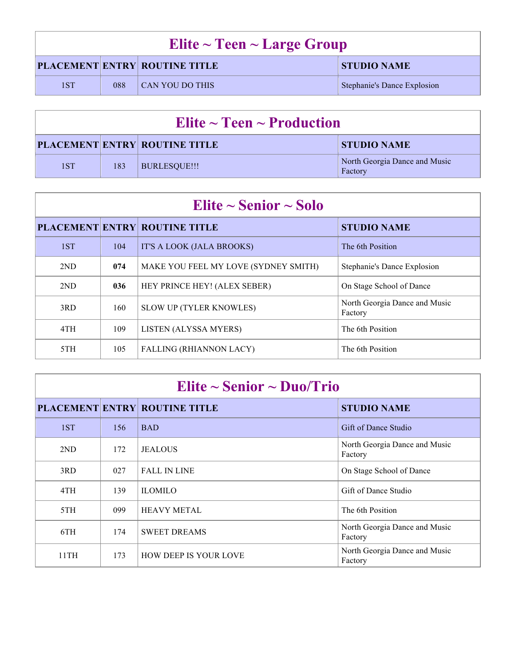| Elite $\sim$ Teen $\sim$ Large Group |     |                                      |                             |
|--------------------------------------|-----|--------------------------------------|-----------------------------|
|                                      |     | <b>PLACEMENT ENTRY ROUTINE TITLE</b> | <b>STUDIO NAME</b>          |
| 1ST                                  | 088 | CAN YOU DO THIS                      | Stephanie's Dance Explosion |

| Elite $\sim$ Teen $\sim$ Production |     |                                      |                                          |
|-------------------------------------|-----|--------------------------------------|------------------------------------------|
|                                     |     | <b>PLACEMENT ENTRY ROUTINE TITLE</b> | <b>STUDIO NAME</b>                       |
| 1ST                                 | 183 | BURLESQUE!!!                         | North Georgia Dance and Music<br>Factory |

| Elite $\sim$ Senior $\sim$ Solo |     |                                      |                                          |
|---------------------------------|-----|--------------------------------------|------------------------------------------|
|                                 |     | <b>PLACEMENT ENTRY ROUTINE TITLE</b> | <b>STUDIO NAME</b>                       |
| 1ST                             | 104 | IT'S A LOOK (JALA BROOKS)            | The 6th Position                         |
| 2ND                             | 074 | MAKE YOU FEEL MY LOVE (SYDNEY SMITH) | Stephanie's Dance Explosion              |
| 2ND                             | 036 | HEY PRINCE HEY! (ALEX SEBER)         | On Stage School of Dance                 |
| 3RD                             | 160 | <b>SLOW UP (TYLER KNOWLES)</b>       | North Georgia Dance and Music<br>Factory |
| 4TH                             | 109 | LISTEN (ALYSSA MYERS)                | The 6th Position                         |
| 5TH                             | 105 | <b>FALLING (RHIANNON LACY)</b>       | The 6th Position                         |

| Elite $\sim$ Senior $\sim$ Duo/Trio |     |                                      |                                          |
|-------------------------------------|-----|--------------------------------------|------------------------------------------|
|                                     |     | <b>PLACEMENT ENTRY ROUTINE TITLE</b> | <b>STUDIO NAME</b>                       |
| 1ST                                 | 156 | <b>BAD</b>                           | Gift of Dance Studio                     |
| 2ND                                 | 172 | <b>JEALOUS</b>                       | North Georgia Dance and Music<br>Factory |
| 3RD                                 | 027 | <b>FALL IN LINE</b>                  | On Stage School of Dance                 |
| 4TH                                 | 139 | <b>ILOMILO</b>                       | Gift of Dance Studio                     |
| 5TH                                 | 099 | <b>HEAVY METAL</b>                   | The 6th Position                         |
| 6TH                                 | 174 | <b>SWEET DREAMS</b>                  | North Georgia Dance and Music<br>Factory |
| 11TH                                | 173 | <b>HOW DEEP IS YOUR LOVE</b>         | North Georgia Dance and Music<br>Factory |